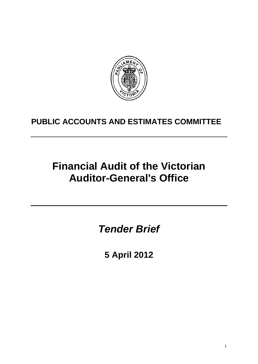

# **PUBLIC ACCOUNTS AND ESTIMATES COMMITTEE**

# **Financial Audit of the Victorian Auditor-General's Office**

*Tender Brief* 

**5 April 2012**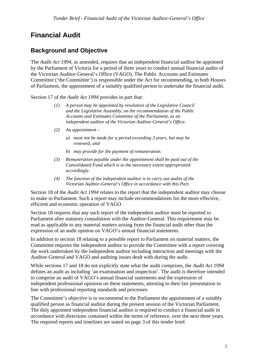# **Financial Audit**

# **Background and Objective**

The *Audit Act 1994*, as amended, requires that an independent financial auditor be appointed by the Parliament of Victoria for a period of three years to conduct annual financial audits of the Victorian Auditor-General's Office (VAGO). The Public Accounts and Estimates Committee ('the Committee') is responsible under the Act for recommending, to both Houses of Parliament, the appointment of a suitably qualified person to undertake the financial audit.

Section 17 of the *Audit Act 1994* provides in part that:

- *(1) A person may be appointed by resolution of the Legislative Council and the Legislative Assembly, on the recommendation of the Public Accounts and Estimates Committee of the Parliament, as an independent auditor of the Victorian Auditor-General's Office.*
- *(2) An appointment* 
	- *a) must not be made for a period exceeding 3 years, but may be renewed; and*
	- *b) may provide for the payment of remuneration.*
- *(3) Remuneration payable under the appointment shall be paid out of the Consolidated Fund which is to the necessary extent appropriated accordingly.*
- *(4) The function of the independent auditor is to carry out audits of the Victorian Auditor-General's Office in accordance with this Part.*

Section 18 of the *Audit Act 1994* relates to the report that the independent auditor may choose to make to Parliament. Such a report may include recommendations for the more effective, efficient and economic operation of VAGO.

Section 18 requires that any such report of the independent auditor must be reported to Parliament after statutory consultation with the Auditor-General. This requirement may be read as applicable to any material matters arising from the financial audit other than the expression of an audit opinion on VAGO's annual financial statements.

In addition to section 18 relating to a possible report to Parliament on material matters, the Committee requires the independent auditor to provide the Committee with a report covering the work undertaken by the independent auditor including interaction and meetings with the Auditor-General and VAGO and auditing issues dealt with during the audit.

While sections 17 and 18 do not explicitly state what the audit comprises, the *Audit Act 1994* defines an audit as including 'an examination and inspection'. The audit is therefore intended to comprise an audit of VAGO's annual financial statements and the expression of independent professional opinions on these statements, attesting to their fair presentation in line with professional reporting standards and processes.

The Committee's objective is to recommend to the Parliament the appointment of a suitably qualified person as financial auditor during the present session of the Victorian Parliament. The duly appointed independent financial auditor is required to conduct a financial audit in accordance with directions contained within the terms of reference, over the next three years. The required reports and timelines are stated on page 3 of this tender brief.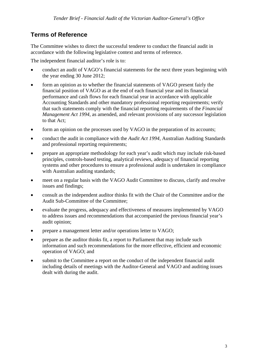# **Terms of Reference**

The Committee wishes to direct the successful tenderer to conduct the financial audit in accordance with the following legislative context and terms of reference.

The independent financial auditor's role is to:

- conduct an audit of VAGO's financial statements for the next three years beginning with the year ending 30 June 2012;
- form an opinion as to whether the financial statements of VAGO present fairly the financial position of VAGO as at the end of each financial year and its financial performance and cash flows for each financial year in accordance with applicable Accounting Standards and other mandatory professional reporting requirements; verify that such statements comply with the financial reporting requirements of the *Financial Management Act 1994*, as amended, and relevant provisions of any successor legislation to that Act;
- form an opinion on the processes used by VAGO in the preparation of its accounts;
- conduct the audit in compliance with the *Audit Act 1994*, Australian Auditing Standards and professional reporting requirements;
- prepare an appropriate methodology for each year's audit which may include risk-based principles, controls-based testing, analytical reviews, adequacy of financial reporting systems and other procedures to ensure a professional audit is undertaken in compliance with Australian auditing standards;
- meet on a regular basis with the VAGO Audit Committee to discuss, clarify and resolve issues and findings;
- consult as the independent auditor thinks fit with the Chair of the Committee and/or the Audit Sub-Committee of the Committee;
- evaluate the progress, adequacy and effectiveness of measures implemented by VAGO to address issues and recommendations that accompanied the previous financial year's audit opinion;
- prepare a management letter and/or operations letter to VAGO;
- prepare as the auditor thinks fit, a report to Parliament that may include such information and such recommendations for the more effective, efficient and economic operation of VAGO; and
- submit to the Committee a report on the conduct of the independent financial audit including details of meetings with the Auditor-General and VAGO and auditing issues dealt with during the audit.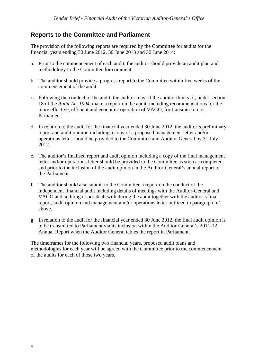### **Reports to the Committee and Parliament**

The provision of the following reports are required by the Committee for audits for the financial years ending 30 June 2012, 30 June 2013 and 30 June 2014:

- a. Prior to the commencement of each audit, the auditor should provide an audit plan and methodology to the Committee for comment.
- b. The auditor should provide a progress report to the Committee within five weeks of the commencement of the audit.
- c. Following the conduct of the audit, the auditor may, if the auditor thinks fit, under section 18 of the *Audit Act 1994*, make a report on the audit, including recommendations for the more effective, efficient and economic operation of VAGO, for transmission to Parliament.
- d. In relation to the audit for the financial year ended 30 June 2012, the auditor's preliminary report and audit opinion including a copy of a proposed management letter and/or operations letter should be provided to the Committee and Auditor-General by 31 July 2012.
- e. The auditor's finalised report and audit opinion including a copy of the final management letter and/or operations letter should be provided to the Committee as soon as completed and prior to the inclusion of the audit opinion in the Auditor-General's annual report to the Parliament.
- f. The auditor should also submit to the Committee a report on the conduct of the independent financial audit including details of meetings with the Auditor-General and VAGO and auditing issues dealt with during the audit together with the auditor's final report, audit opinion and management and/or operations letter outlined in paragraph 'e' above.
- g. In relation to the audit for the financial year ended 30 June 2012, the final audit opinion is to be transmitted to Parliament via its inclusion within the Auditor-General's 2011-12 Annual Report when the Auditor General tables the report in Parliament.

The timeframes for the following two financial years, proposed audit plans and methodologies for each year will be agreed with the Committee prior to the commencement of the audits for each of those two years.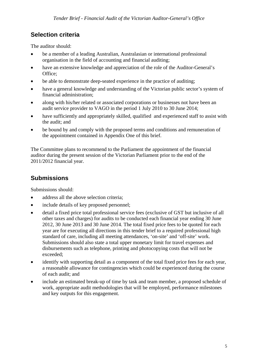# **Selection criteria**

The auditor should:

- be a member of a leading Australian, Australasian or international professional organisation in the field of accounting and financial auditing;
- have an extensive knowledge and appreciation of the role of the Auditor-General's Office;
- be able to demonstrate deep-seated experience in the practice of auditing;
- have a general knowledge and understanding of the Victorian public sector's system of financial administration;
- along with his/her related or associated corporations or businesses not have been an audit service provider to VAGO in the period 1 July 2010 to 30 June 2014;
- have sufficiently and appropriately skilled, qualified and experienced staff to assist with the audit; and
- be bound by and comply with the proposed terms and conditions and remuneration of the appointment contained in Appendix One of this brief.

The Committee plans to recommend to the Parliament the appointment of the financial auditor during the present session of the Victorian Parliament prior to the end of the 2011/2012 financial year.

# **Submissions**

Submissions should:

- address all the above selection criteria:
- include details of key proposed personnel;
- detail a fixed price total professional service fees (exclusive of GST but inclusive of all other taxes and charges) for audits to be conducted each financial year ending 30 June 2012, 30 June 2013 and 30 June 2014. The total fixed price fees to be quoted for each year are for executing all directions in this tender brief to a required professional high standard of care, including all meeting attendances, 'on-site' and 'off-site' work. Submissions should also state a total upper monetary limit for travel expenses and disbursements such as telephone, printing and photocopying costs that will not be exceeded;
- identify with supporting detail as a component of the total fixed price fees for each year, a reasonable allowance for contingencies which could be experienced during the course of each audit; and
- include an estimated break-up of time by task and team member, a proposed schedule of work, appropriate audit methodologies that will be employed, performance milestones and key outputs for this engagement.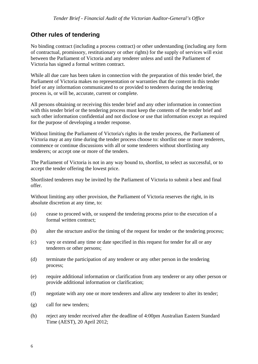### **Other rules of tendering**

No binding contract (including a process contract) or other understanding (including any form of contractual, promissory, restitutionary or other rights) for the supply of services will exist between the Parliament of Victoria and any tenderer unless and until the Parliament of Victoria has signed a formal written contract.

While all due care has been taken in connection with the preparation of this tender brief, the Parliament of Victoria makes no representation or warranties that the content in this tender brief or any information communicated to or provided to tenderers during the tendering process is, or will be, accurate, current or complete.

All persons obtaining or receiving this tender brief and any other information in connection with this tender brief or the tendering process must keep the contents of the tender brief and such other information confidential and not disclose or use that information except as required for the purpose of developing a tender response.

Without limiting the Parliament of Victoria's rights in the tender process, the Parliament of Victoria may at any time during the tender process choose to: shortlist one or more tenderers, commence or continue discussions with all or some tenderers without shortlisting any tenderers; or accept one or more of the tenders.

The Parliament of Victoria is not in any way bound to, shortlist, to select as successful, or to accept the tender offering the lowest price.

Shortlisted tenderers may be invited by the Parliament of Victoria to submit a best and final offer.

Without limiting any other provision, the Parliament of Victoria reserves the right, in its absolute discretion at any time, to:

- (a) cease to proceed with, or suspend the tendering process prior to the execution of a formal written contract;
- (b) alter the structure and/or the timing of the request for tender or the tendering process;
- (c) vary or extend any time or date specified in this request for tender for all or any tenderers or other persons;
- (d) terminate the participation of any tenderer or any other person in the tendering process;
- (e) require additional information or clarification from any tenderer or any other person or provide additional information or clarification;
- (f) negotiate with any one or more tenderers and allow any tenderer to alter its tender;
- (g) call for new tenders;
- (h) reject any tender received after the deadline of 4:00pm Australian Eastern Standard Time (AEST), 20 April 2012;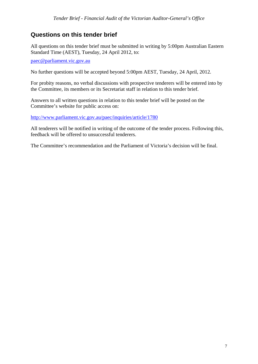## **Questions on this tender brief**

All questions on this tender brief must be submitted in writing by 5:00pm Australian Eastern Standard Time (AEST), Tuesday, 24 April 2012, to:

[paec@parliament.vic.gov.au](mailto:paec@parliament.vic.gov.au)

No further questions will be accepted beyond 5:00pm AEST, Tuesday, 24 April, 2012.

For probity reasons, no verbal discussions with prospective tenderers will be entered into by the Committee, its members or its Secretariat staff in relation to this tender brief.

Answers to all written questions in relation to this tender brief will be posted on the Committee's website for public access on:

<http://www.parliament.vic.gov.au/paec/inquiries/article/1780>

All tenderers will be notified in writing of the outcome of the tender process. Following this, feedback will be offered to unsuccessful tenderers.

The Committee's recommendation and the Parliament of Victoria's decision will be final.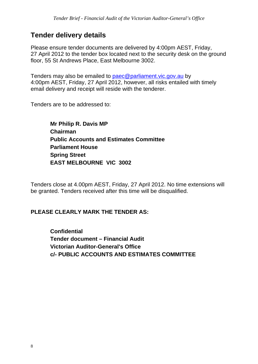# **Tender delivery details**

Please ensure tender documents are delivered by 4:00pm AEST, Friday, 27 April 2012 to the tender box located next to the security desk on the ground floor, 55 St Andrews Place, East Melbourne 3002.

Tenders may also be emailed to [paec@parliament.vic.gov.au](mailto:paec@parliament.vic.gov.au) by 4:00pm AEST, Friday, 27 April 2012, however, all risks entailed with timely email delivery and receipt will reside with the tenderer.

Tenders are to be addressed to:

**Mr Philip R. Davis MP Chairman Public Accounts and Estimates Committee Parliament House Spring Street EAST MELBOURNE VIC 3002** 

Tenders close at 4.00pm AEST, Friday, 27 April 2012. No time extensions will be granted. Tenders received after this time will be disqualified.

## **PLEASE CLEARLY MARK THE TENDER AS:**

**Confidential Tender document – Financial Audit Victorian Auditor-General's Office c/- PUBLIC ACCOUNTS AND ESTIMATES COMMITTEE**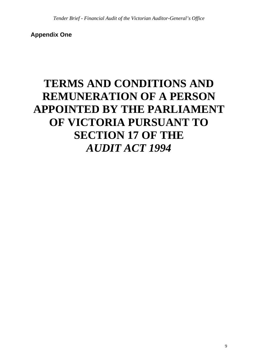**Appendix One** 

# **TERMS AND CONDITIONS AND REMUNERATION OF A PERSON APPOINTED BY THE PARLIAMENT OF VICTORIA PURSUANT TO SECTION 17 OF THE**  *AUDIT ACT 1994*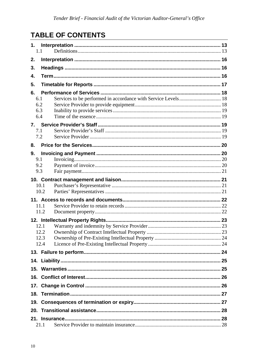# **TABLE OF CONTENTS**

| 1.<br>1.1  |                                                               |  |
|------------|---------------------------------------------------------------|--|
| 2.         |                                                               |  |
| 3.         |                                                               |  |
| 4.         |                                                               |  |
| 5.         |                                                               |  |
| 6.         |                                                               |  |
| 6.1        | Services to be performed in accordance with Service Levels 18 |  |
| 6.2<br>6.3 |                                                               |  |
| 6.4        |                                                               |  |
| 7.         |                                                               |  |
| 7.1        |                                                               |  |
| 7.2        |                                                               |  |
| 8.         |                                                               |  |
| 9.         |                                                               |  |
| 9.1        |                                                               |  |
| 9.2<br>9.3 |                                                               |  |
|            |                                                               |  |
|            | 10.1                                                          |  |
|            | 10.2                                                          |  |
|            |                                                               |  |
|            | 11.1                                                          |  |
|            | 11.2                                                          |  |
|            | 12. Intellectual Property Rights.                             |  |
|            | 12.1                                                          |  |
|            | 12.2<br>12.3                                                  |  |
|            | 12.4                                                          |  |
|            |                                                               |  |
|            |                                                               |  |
|            |                                                               |  |
|            |                                                               |  |
| 17.        |                                                               |  |
| 18.        |                                                               |  |
| 19.        |                                                               |  |
| 20.        |                                                               |  |
| 21.        |                                                               |  |
|            | 21.1                                                          |  |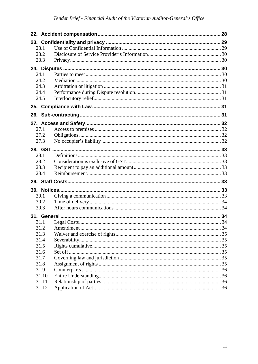| 23.1  |  |
|-------|--|
| 23.2  |  |
| 23.3  |  |
|       |  |
| 24.1  |  |
| 24.2  |  |
| 24.3  |  |
| 24.4  |  |
| 24.5  |  |
|       |  |
|       |  |
|       |  |
| 27.1  |  |
| 27.2  |  |
| 27.3  |  |
|       |  |
| 28.1  |  |
| 28.2  |  |
| 28.3  |  |
| 28.4  |  |
|       |  |
|       |  |
| 30.1  |  |
| 30.2  |  |
| 30.3  |  |
|       |  |
| 31.1  |  |
| 31.2  |  |
| 31.3  |  |
| 31.4  |  |
| 31.5  |  |
| 31.6  |  |
| 31.7  |  |
| 31.8  |  |
| 31.9  |  |
| 31.10 |  |
| 31.11 |  |
| 31.12 |  |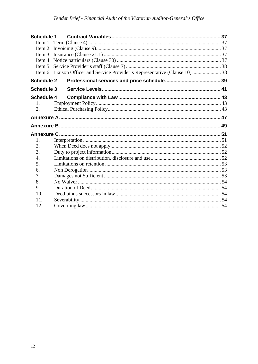| <b>Schedule 1</b> |                                                                               |  |
|-------------------|-------------------------------------------------------------------------------|--|
|                   |                                                                               |  |
|                   |                                                                               |  |
|                   |                                                                               |  |
|                   |                                                                               |  |
|                   |                                                                               |  |
|                   | Item 6: Liaison Officer and Service Provider's Representative (Clause 10)  38 |  |
| <b>Schedule 2</b> |                                                                               |  |
| <b>Schedule 3</b> |                                                                               |  |
| Schedule 4        |                                                                               |  |
| 1.11              |                                                                               |  |
| 2.                |                                                                               |  |
|                   |                                                                               |  |
|                   |                                                                               |  |
|                   |                                                                               |  |
|                   |                                                                               |  |
| 1.                |                                                                               |  |
| 2.                |                                                                               |  |
| 3.                |                                                                               |  |
| 4.                |                                                                               |  |
| 5.                |                                                                               |  |
| 6.                |                                                                               |  |
| 7.                |                                                                               |  |
| 8.                |                                                                               |  |
| 9.                |                                                                               |  |
| 10.               |                                                                               |  |
| 11.<br>12.        |                                                                               |  |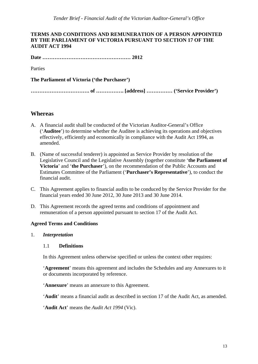#### **TERMS AND CONDITIONS AND REMUNERATION OF A PERSON APPOINTED BY THE PARLIAMENT OF VICTORIA PURSUANT TO SECTION 17 OF THE AUDIT ACT 1994**

**Date …………………………………………… 2012** 

Parties

**The Parliament of Victoria ('the Purchaser')** 

**……………………………. of ……………. [address] …………… ('Service Provider')** 

#### **Whereas**

- A. A financial audit shall be conducted of the Victorian Auditor-General's Office ('**Auditee**') to determine whether the Auditee is achieving its operations and objectives effectively, efficiently and economically in compliance with the Audit Act 1994, as amended.
- B. (Name of successful tenderer) is appointed as Service Provider by resolution of the Legislative Council and the Legislative Assembly (together constitute '**the Parliament of Victoria**' and '**the Purchaser**'), on the recommendation of the Public Accounts and Estimates Committee of the Parliament ('**Purchaser's Representative**'), to conduct the financial audit.
- C. This Agreement applies to financial audits to be conduced by the Service Provider for the financial years ended 30 June 2012, 30 June 2013 and 30 June 2014.
- D. This Agreement records the agreed terms and conditions of appointment and remuneration of a person appointed pursuant to section 17 of the Audit Act.

#### **Agreed Terms and Conditions**

<span id="page-12-1"></span><span id="page-12-0"></span>1. *Interpretation* 

#### 1.1 **Definitions**

In this Agreement unless otherwise specified or unless the context other requires:

'**Agreement**' means this agreement and includes the Schedules and any Annexures to it or documents incorporated by reference.

'**Annexure**' means an annexure to this Agreement.

'**Audit**' means a financial audit as described in section 17 of the Audit Act, as amended.

'**Audit Act**' means the *Audit Act 1994* (Vic).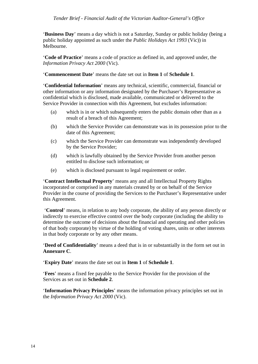'**Business Day**' means a day which is not a Saturday, Sunday or public holiday (being a public holiday appointed as such under the *Public Holidays Act 1993* (Vic)) in Melbourne.

'**Code of Practice**' means a code of practice as defined in, and approved under, the *Information Privacy Act 2000* (Vic).

'**Commencement Date**' means the date set out in **Item 1** of **Schedule 1**.

'**Confidential Information**' means any technical, scientific, commercial, financial or other information or any information designated by the Purchaser's Representative as confidential which is disclosed, made available, communicated or delivered to the Service Provider in connection with this Agreement, but excludes information:

- (a) which is in or which subsequently enters the public domain other than as a result of a breach of this Agreement;
- (b) which the Service Provider can demonstrate was in its possession prior to the date of this Agreement;
- (c) which the Service Provider can demonstrate was independently developed by the Service Provider;
- (d) which is lawfully obtained by the Service Provider from another person entitled to disclose such information; or
- (e) which is disclosed pursuant to legal requirement or order.

'**Contract Intellectual Property**' means any and all Intellectual Property Rights incorporated or comprised in any materials created by or on behalf of the Service Provider in the course of providing the Services to the Purchaser's Representative under this Agreement.

 '**Control**' means, in relation to any body corporate, the ability of any person directly or indirectly to exercise effective control over the body corporate (including the ability to determine the outcome of decisions about the financial and operating and other policies of that body corporate) by virtue of the holding of voting shares, units or other interests in that body corporate or by any other means.

'**Deed of Confidentiality**' means a deed that is in or substantially in the form set out in **Annexure C**.

'**Expiry Date**' means the date set out in **Item 1** of **Schedule 1**.

'**Fees**' means a fixed fee payable to the Service Provider for the provision of the Services as set out in **Schedule 2**.

'**Information Privacy Principles**' means the information privacy principles set out in the *Information Privacy Act 2000* (Vic).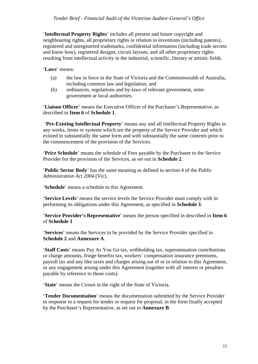'**Intellectual Property Rights**' includes all present and future copyright and neighbouring rights, all proprietary rights in relation to inventions (including patents), registered and unregistered trademarks, confidential information (including trade secrets and know how), registered designs, circuit layouts, and all other proprietary rights resulting from intellectual activity in the industrial, scientific, literary or artistic fields.

'**Laws**' means:

- (a) the law in force in the State of Victoria and the Commonwealth of Australia, including common law and legislation; and
- (b) ordinances, regulations and by-laws of relevant government, semigovernment or local authorities.

'**Liaison Officer**' means the Executive Officer of the Purchaser's Representative, as described in **Item 6** of **Schedule 1**.

 '**Pre-Existing Intellectual Property**' means any and all Intellectual Property Rights in any works, items or systems which are the property of the Service Provider and which existed in substantially the same form and with substantially the same contents prior to the commencement of the provision of the Services.

'**Price Schedule**' means the schedule of Fees payable by the Purchaser to the Service Provider for the provision of the Services, as set out in **Schedule 2**.

'**Public Sector Body**' has the same meaning as defined in section 4 of the *Public Administration Act 2004* (Vic).

'**Schedule**' means a schedule to this Agreement.

'**Service Levels**' means the service levels the Service Provider must comply with in performing its obligations under this Agreement, as specified in **Schedule 3**.

'**Service Provider's Representative**' means the person specified in described in **Item 6** of **Schedule 1**

'**Services**' means the Services to be provided by the Service Provider specified in **Schedule 2** and **Annexure A**.

'**Staff Costs**' means Pay As You Go tax, withholding tax, superannuation contributions or charge amounts, fringe benefits tax, workers' compensation insurance premiums, payroll tax and any like taxes and charges arising out of or in relation to this Agreement, or any engagement arising under this Agreement (together with all interest or penalties payable by reference to those costs).

'**State**' means the Crown in the right of the State of Victoria.

'**Tender Documentation**' means the documentation submitted by the Service Provider in response to a request for tender or request for proposal, in the form finally accepted by the Purchaser's Representative, as set out in **Annexure B**.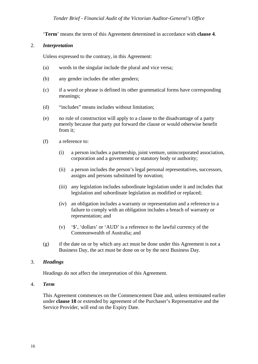'**Term**' means the term of this Agreement determined in accordance with **clause [4](#page-15-2)**.

#### <span id="page-15-0"></span>2. *Interpretation*

Unless expressed to the contrary, in this Agreement:

- (a) words in the singular include the plural and vice versa;
- (b) any gender includes the other genders;
- (c) if a word or phrase is defined its other grammatical forms have corresponding meanings;
- (d) "includes" means includes without limitation;
- (e) no rule of construction will apply to a clause to the disadvantage of a party merely because that party put forward the clause or would otherwise benefit from it;
- (f) a reference to:
	- (i) a person includes a partnership, joint venture, unincorporated association, corporation and a government or statutory body or authority;
	- (ii) a person includes the person's legal personal representatives, successors, assigns and persons substituted by novation;
	- (iii) any legislation includes subordinate legislation under it and includes that legislation and subordinate legislation as modified or replaced;
	- (iv) an obligation includes a warranty or representation and a reference to a failure to comply with an obligation includes a breach of warranty or representation; and
	- (v) '\$', 'dollars' or 'AUD' is a reference to the lawful currency of the Commonwealth of Australia; and
- (g) if the date on or by which any act must be done under this Agreement is not a Business Day, the act must be done on or by the next Business Day.

#### <span id="page-15-1"></span>3. *Headings*

Headings do not affect the interpretation of this Agreement.

#### <span id="page-15-2"></span>4. *Term*

This Agreement commences on the Commencement Date and, unless terminated earlier under **clause 18** or extended by agreement of the Purchaser's Representative and the Service Provider, will end on the Expiry Date.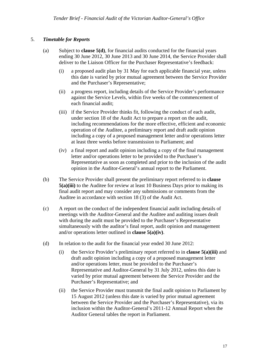#### 5. *Timetable for Reports*

- (a) Subject to **clause 5(d)**, for financial audits conducted for the financial years ending 30 June 2012, 30 June 2013 and 30 June 2014, the Service Provider shall deliver to the Liaison Officer for the Purchaser Representative's feedback:
	- (i) a proposed audit plan by 31 May for each applicable financial year, unless this date is varied by prior mutual agreement between the Service Provider and the Purchaser's Representative;
	- (ii) a progress report, including details of the Service Provider's performance against the Service Levels, within five weeks of the commencement of each financial audit;
	- (iii) if the Service Provider thinks fit, following the conduct of each audit, under section 18 of the Audit Act to prepare a report on the audit, including recommendations for the more effective, efficient and economic operation of the Auditee, a preliminary report and draft audit opinion including a copy of a proposed management letter and/or operations letter at least three weeks before transmission to Parliament; and
	- (iv) a final report and audit opinion including a copy of the final management letter and/or operations letter to be provided to the Purchaser's Representative as soon as completed and prior to the inclusion of the audit opinion in the Auditor-General's annual report to the Parliament.
- (b) The Service Provider shall present the preliminary report referred to in **clause 5(a)(iii)** to the Auditee for review at least 10 Business Days prior to making its final audit report and may consider any submissions or comments from the Auditee in accordance with section 18 (3) of the Audit Act.
- (c) A report on the conduct of the independent financial audit including details of meetings with the Auditor-General and the Auditee and auditing issues dealt with during the audit must be provided to the Purchaser's Representative simultaneously with the auditor's final report, audit opinion and management and/or operations letter outlined in **clause 5(a)(iv)**.
- <span id="page-16-0"></span>(d) In relation to the audit for the financial year ended 30 June 2012:
	- (i) the Service Provider's preliminary report referred to in **clause 5(a)(iii)** and draft audit opinion including a copy of a proposed management letter and/or operations letter, must be provided to the Purchaser's Representative and Auditor-General by 31 July 2012, unless this date is varied by prior mutual agreement between the Service Provider and the Purchaser's Representative; and
	- (ii) the Service Provider must transmit the final audit opinion to Parliament by 15 August 2012 (unless this date is varied by prior mutual agreement between the Service Provider and the Purchaser's Representative), via its inclusion within the Auditor-General's 2011-12 Annual Report when the Auditor General tables the report in Parliament.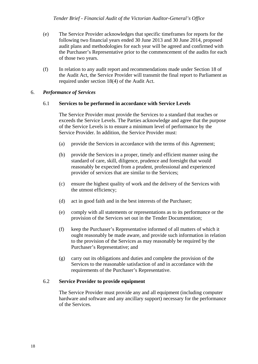- (e) The Service Provider acknowledges that specific timeframes for reports for the following two financial years ended 30 June 2013 and 30 June 2014, proposed audit plans and methodologies for each year will be agreed and confirmed with the Purchaser's Representative prior to the commencement of the audits for each of those two years.
- (f) In relation to any audit report and recommendations made under Section 18 of the Audit Act, the Service Provider will transmit the final report to Parliament as required under section 18(4) of the Audit Act.

#### <span id="page-17-1"></span><span id="page-17-0"></span>6. *Performance of Services*

#### 6.1 **Services to be performed in accordance with Service Levels**

The Service Provider must provide the Services to a standard that reaches or exceeds the Service Levels. The Parties acknowledge and agree that the purpose of the Service Levels is to ensure a minimum level of performance by the Service Provider. In addition, the Service Provider must:

- (a) provide the Services in accordance with the terms of this Agreement;
- (b) provide the Services in a proper, timely and efficient manner using the standard of care, skill, diligence, prudence and foresight that would reasonably be expected from a prudent, professional and experienced provider of services that are similar to the Services;
- (c) ensure the highest quality of work and the delivery of the Services with the utmost efficiency;
- (d) act in good faith and in the best interests of the Purchaser;
- (e) comply with all statements or representations as to its performance or the provision of the Services set out in the Tender Documentation;
- (f) keep the Purchaser's Representative informed of all matters of which it ought reasonably be made aware, and provide such information in relation to the provision of the Services as may reasonably be required by the Purchaser's Representative; and
- (g) carry out its obligations and duties and complete the provision of the Services to the reasonable satisfaction of and in accordance with the requirements of the Purchaser's Representative.

#### <span id="page-17-2"></span>6.2 **Service Provider to provide equipment**

The Service Provider must provide any and all equipment (including computer hardware and software and any ancillary support) necessary for the performance of the Services.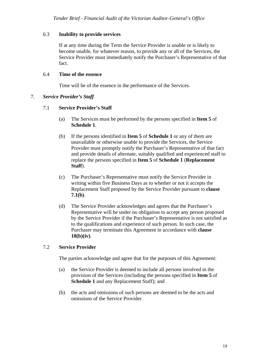#### <span id="page-18-0"></span>6.3 **Inability to provide services**

If at any time during the Term the Service Provider is unable or is likely to become unable, for whatever reason, to provide any or all of the Services, the Service Provider must immediately notify the Purchaser's Representative of that fact.

#### 6.4 **Time of the essence**

Time will be of the essence in the performance of the Services.

#### <span id="page-18-3"></span><span id="page-18-2"></span><span id="page-18-1"></span>7. *Service Provider's Staff*

#### 7.1 **Service Provider's Staff**

- (a) The Services must be performed by the persons specified in **Item 5** of **Schedule 1**.
- (b) If the persons identified in **Item 5** of **Schedule 1** or any of them are unavailable or otherwise unable to provide the Services, the Service Provider must promptly notify the Purchaser's Representative of that fact and provide details of alternate, suitably qualified and experienced staff to replace the persons specified in **Item 5** of **Schedule 1** (**Replacement Staff**).
- (c) The Purchaser's Representative must notify the Service Provider in writing within five Business Days as to whether or not it accepts the Replacement Staff proposed by the Service Provider pursuant to **clause 7.1(b)**.
- (d) The Service Provider acknowledges and agrees that the Purchaser's Representative will be under no obligation to accept any person proposed by the Service Provider if the Purchaser's Representative is not satisfied as to the qualifications and experience of such person. In such case, the Purchaser may terminate this Agreement in accordance with **clause 18(b)(iv)**.

#### <span id="page-18-4"></span>7.2 **Service Provider**

The parties acknowledge and agree that for the purposes of this Agreement:

- (a) the Service Provider is deemed to include all persons involved in the provision of the Services (including the persons specified in **Item 5** of **Schedule 1** and any Replacement Staff); and
- (b) the acts and omissions of such persons are deemed to be the acts and omissions of the Service Provider.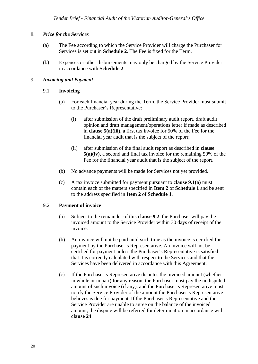#### <span id="page-19-0"></span>8. *Price for the Services*

- (a) The Fee according to which the Service Provider will charge the Purchaser for Services is set out in **Schedule 2**. The Fee is fixed for the Term.
- (b) Expenses or other disbursements may only be charged by the Service Provider in accordance with **Schedule 2**.

#### <span id="page-19-2"></span><span id="page-19-1"></span>9. *Invoicing and Payment*

#### 9.1 **Invoicing**

- (a) For each financial year during the Term, the Service Provider must submit to the Purchaser's Representative:
	- (i) after submission of the draft preliminary audit report, draft audit opinion and draft management/operations letter if made as described in **clause 5(a)(iii)**, a first tax invoice for 50% of the Fee for the financial year audit that is the subject of the report;
	- (ii) after submission of the final audit report as described in **clause 5(a)(iv)**, a second and final tax invoice for the remaining 50% of the Fee for the financial year audit that is the subject of the report.
- (b) No advance payments will be made for Services not yet provided.
- (c) A tax invoice submitted for payment pursuant to **clause 9.1(a)** must contain each of the matters specified in **Item 2** of **Schedule 1** and be sent to the address specified in **Item 2** of **Schedule 1**.

#### <span id="page-19-3"></span>9.2 **Payment of invoice**

- (a) Subject to the remainder of this **clause 9.2**, the Purchaser will pay the invoiced amount to the Service Provider within 30 days of receipt of the invoice.
- (b) An invoice will not be paid until such time as the invoice is certified for payment by the Purchaser's Representative. An invoice will not be certified for payment unless the Purchaser's Representative is satisfied that it is correctly calculated with respect to the Services and that the Services have been delivered in accordance with this Agreement.
- (c) If the Purchaser's Representative disputes the invoiced amount (whether in whole or in part) for any reason, the Purchaser must pay the undisputed amount of such invoice (if any), and the Purchaser's Representative must notify the Service Provider of the amount the Purchaser's Representative believes is due for payment. If the Purchaser's Representative and the Service Provider are unable to agree on the balance of the invoiced amount, the dispute will be referred for determination in accordance with **clause 24**.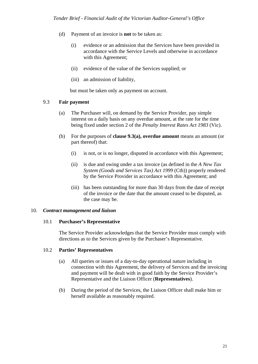- (d) Payment of an invoice is **not** to be taken as:
	- (i) evidence or an admission that the Services have been provided in accordance with the Service Levels and otherwise in accordance with this Agreement;
	- (ii) evidence of the value of the Services supplied; or
	- (iii) an admission of liability,

but must be taken only as payment on account.

#### <span id="page-20-0"></span>9.3 **Fair payment**

- (a) The Purchaser will, on demand by the Service Provider, pay simple interest on a daily basis on any overdue amount, at the rate for the time being fixed under section 2 of the *Penalty Interest Rates Act 1983* (Vic).
- (b) For the purposes of **clause 9.3(a), overdue amount** means an amount (or part thereof) that:
	- (i) is not, or is no longer, disputed in accordance with this Agreement;
	- (ii) is due and owing under a tax invoice (as defined in the *A New Tax System (Goods and Services Tax) Act 1999* (Cth)) properly rendered by the Service Provider in accordance with this Agreement; and
	- (iii) has been outstanding for more than 30 days from the date of receipt of the invoice or the date that the amount ceased to be disputed, as the case may be.

#### <span id="page-20-2"></span><span id="page-20-1"></span>10. *Contract management and liaison*

#### 10.1 **Purchaser's Representative**

The Service Provider acknowledges that the Service Provider must comply with directions as to the Services given by the Purchaser's Representative.

#### <span id="page-20-3"></span>10.2 **Parties' Representatives**

- (a) All queries or issues of a day-to-day operational nature including in connection with this Agreement, the delivery of Services and the invoicing and payment will be dealt with in good faith by the Service Provider's Representative and the Liaison Officer (**Representatives**).
- (b) During the period of the Services, the Liaison Officer shall make him or herself available as reasonably required.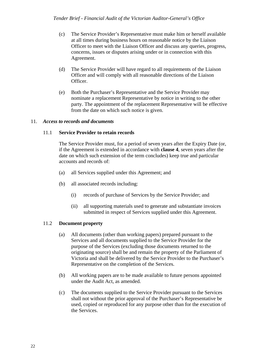- (c) The Service Provider's Representative must make him or herself available at all times during business hours on reasonable notice by the Liaison Officer to meet with the Liaison Officer and discuss any queries, progress, concerns, issues or disputes arising under or in connection with this Agreement.
- (d) The Service Provider will have regard to all requirements of the Liaison Officer and will comply with all reasonable directions of the Liaison Officer.
- (e) Both the Purchaser's Representative and the Service Provider may nominate a replacement Representative by notice in writing to the other party. The appointment of the replacement Representative will be effective from the date on which such notice is given.

#### <span id="page-21-1"></span><span id="page-21-0"></span>11. *Access to records and documents*

#### 11.1 **Service Provider to retain records**

The Service Provider must, for a period of seven years after the Expiry Date (or, if the Agreement is extended in accordance with **clause 4**, seven years after the date on which such extension of the term concludes) keep true and particular accounts and records of:

- (a) all Services supplied under this Agreement; and
- (b) all associated records including:
	- (i) records of purchase of Services by the Service Provider; and
	- (ii) all supporting materials used to generate and substantiate invoices submitted in respect of Services supplied under this Agreement.

#### <span id="page-21-2"></span>11.2 **Document property**

- (a) All documents (other than working papers) prepared pursuant to the Services and all documents supplied to the Service Provider for the purpose of the Services (excluding those documents returned to the originating source) shall be and remain the property of the Parliament of Victoria and shall be delivered by the Service Provider to the Purchaser's Representative on the completion of the Services.
- (b) All working papers are to be made available to future persons appointed under the Audit Act, as amended.
- (c) The documents supplied to the Service Provider pursuant to the Services shall not without the prior approval of the Purchaser's Representative be used, copied or reproduced for any purpose other than for the execution of the Services.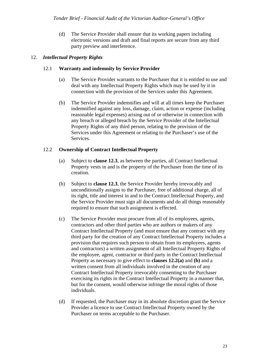(d) The Service Provider shall ensure that its working papers including electronic versions and draft and final reports are secure from any third party preview and interference.

#### <span id="page-22-1"></span><span id="page-22-0"></span>12. *Intellectual Property Rights*

#### 12.1 **Warranty and indemnity by Service Provider**

- (a) The Service Provider warrants to the Purchaser that it is entitled to use and deal with any Intellectual Property Rights which may be used by it in connection with the provision of the Services under this Agreement.
- (b) The Service Provider indemnifies and will at all times keep the Purchaser indemnified against any loss, damage, claim, action or expense (including reasonable legal expenses) arising out of or otherwise in connection with any breach or alleged breach by the Service Provider of the Intellectual Property Rights of any third person, relating to the provision of the Services under this Agreement or relating to the Purchaser's use of the Services.

#### <span id="page-22-2"></span>12.2 **Ownership of Contract Intellectual Property**

- (a) Subject to **clause 12.3**, as between the parties, all Contract Intellectual Property vests in and is the property of the Purchaser from the time of its creation.
- (b) Subject to **clause 12.3**, the Service Provider hereby irrevocably and unconditionally assigns to the Purchaser, free of additional charge, all of its right, title and interest in and to the Contract Intellectual Property, and the Service Provider must sign all documents and do all things reasonably required to ensure that such assignment is effected.
- (c) The Service Provider must procure from all of its employees, agents, contractors and other third parties who are authors or makers of any Contract Intellectual Property (and must ensure that any contract with any third party for the creation of any Contract Intellectual Property includes a provision that requires such person to obtain from its employees, agents and contractors) a written assignment of all Intellectual Property Rights of the employee, agent, contractor or third party in the Contract Intellectual Property as necessary to give effect to **clauses 12.2(a)** and **(b)** and a written consent from all individuals involved in the creation of any Contract Intellectual Property irrevocably consenting to the Purchaser exercising its rights in the Contract Intellectual Property in a manner that, but for the consent, would otherwise infringe the moral rights of those individuals.
- (d) If requested, the Purchaser may in its absolute discretion grant the Service Provider a licence to use Contract Intellectual Property owned by the Purchaser on terms acceptable to the Purchaser.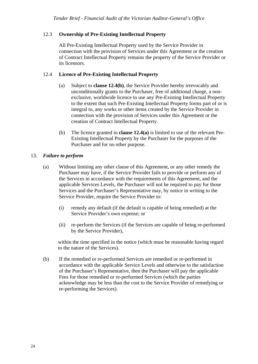#### <span id="page-23-0"></span>12.3 **Ownership of Pre-Existing Intellectual Property**

All Pre-Existing Intellectual Property used by the Service Provider in connection with the provision of Services under this Agreement or the creation of Contract Intellectual Property remains the property of the Service Provider or its licensors.

#### <span id="page-23-1"></span>12.4 **Licence of Pre-Existing Intellectual Property**

- (a) Subject to **clause 12.4(b)**, the Service Provider hereby irrevocably and unconditionally grants to the Purchaser, free of additional charge, a nonexclusive, worldwide licence to use any Pre-Existing Intellectual Property to the extent that such Pre-Existing Intellectual Property forms part of or is integral to, any works or other items created by the Service Provider in connection with the provision of Services under this Agreement or the creation of Contract Intellectual Property.
- (b) The licence granted in **clause 12.4(a)** is limited to use of the relevant Pre-Existing Intellectual Property by the Purchaser for the purposes of the Purchaser and for no other purpose.

#### <span id="page-23-2"></span>13. *Failure to perform*

- (a) Without limiting any other clause of this Agreement, or any other remedy the Purchaser may have, if the Service Provider fails to provide or perform any of the Services in accordance with the requirements of this Agreement, and the applicable Services Levels, the Purchaser will not be required to pay for those Services and the Purchaser's Representative may, by notice in writing to the Service Provider, require the Service Provider to:
	- (i) remedy any default (if the default is capable of being remedied) at the Service Provider's own expense; or
	- (ii) re-perform the Services (if the Services are capable of being re-performed by the Service Provider),

within the time specified in the notice (which must be reasonable having regard to the nature of the Services).

(b) If the remedied or re-performed Services are remedied or re-performed in accordance with the applicable Service Levels and otherwise to the satisfaction of the Purchaser's Representative, then the Purchaser will pay the applicable Fees for those remedied or re-performed Services (which the parties acknowledge may be less than the cost to the Service Provider of remedying or re-performing the Services).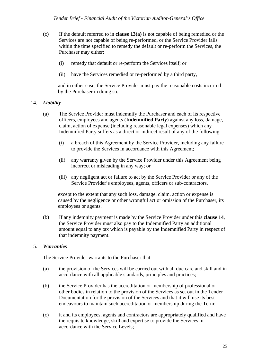- (c) If the default referred to in **clause 13(a)** is not capable of being remedied or the Services are not capable of being re-performed, or the Service Provider fails within the time specified to remedy the default or re-perform the Services, the Purchaser may either:
	- (i) remedy that default or re-perform the Services itself; or
	- (ii) have the Services remedied or re-performed by a third party,

and in either case, the Service Provider must pay the reasonable costs incurred by the Purchaser in doing so.

#### <span id="page-24-0"></span>14. *Liability*

- (a) The Service Provider must indemnify the Purchaser and each of its respective officers, employees and agents (**Indemnified Party**) against any loss, damage, claim, action of expense (including reasonable legal expenses) which any Indemnified Party suffers as a direct or indirect result of any of the following:
	- (i) a breach of this Agreement by the Service Provider, including any failure to provide the Services in accordance with this Agreement;
	- (ii) any warranty given by the Service Provider under this Agreement being incorrect or misleading in any way; or
	- (iii) any negligent act or failure to act by the Service Provider or any of the Service Provider's employees, agents, officers or sub-contractors,

except to the extent that any such loss, damage, claim, action or expense is caused by the negligence or other wrongful act or omission of the Purchaser, its employees or agents.

(b) If any indemnity payment is made by the Service Provider under this **clause 14**, the Service Provider must also pay to the Indemnified Party an additional amount equal to any tax which is payable by the Indemnified Party in respect of that indemnity payment.

#### <span id="page-24-1"></span>15. *Warranties*

The Service Provider warrants to the Purchaser that:

- (a) the provision of the Services will be carried out with all due care and skill and in accordance with all applicable standards, principles and practices;
- (b) the Service Provider has the accreditation or membership of professional or other bodies in relation to the provision of the Services as set out in the Tender Documentation for the provision of the Services and that it will use its best endeavours to maintain such accreditation or membership during the Term;
- (c) it and its employees, agents and contractors are appropriately qualified and have the requisite knowledge, skill and expertise to provide the Services in accordance with the Service Levels;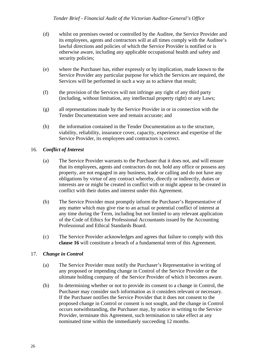- (d) whilst on premises owned or controlled by the Auditee, the Service Provider and its employees, agents and contractors will at all times comply with the Auditee's lawful directions and policies of which the Service Provider is notified or is otherwise aware, including any applicable occupational health and safety and security policies;
- (e) where the Purchaser has, either expressly or by implication, made known to the Service Provider any particular purpose for which the Services are required, the Services will be performed in such a way as to achieve that result;
- (f) the provision of the Services will not infringe any right of any third party (including, without limitation, any intellectual property right) or any Laws;
- (g) all representations made by the Service Provider in or in connection with the Tender Documentation were and remain accurate; and
- (h) the information contained in the Tender Documentation as to the structure, viability, reliability, insurance cover, capacity, experience and expertise of the Service Provider, its employees and contractors is correct.

#### <span id="page-25-0"></span>16. *Conflict of Interest*

- (a) The Service Provider warrants to the Purchaser that it does not, and will ensure that its employees, agents and contractors do not, hold any office or possess any property, are not engaged in any business, trade or calling and do not have any obligations by virtue of any contract whereby, directly or indirectly, duties or interests are or might be created in conflict with or might appear to be created in conflict with their duties and interest under this Agreement.
- (b) The Service Provider must promptly inform the Purchaser's Representative of any matter which may give rise to an actual or potential conflict of interest at any time during the Term, including but not limited to any relevant application of the Code of Ethics for Professional Accountants issued by the Accounting Professional and Ethical Standards Board.
- (c) The Service Provider acknowledges and agrees that failure to comply with this **clause 16** will constitute a breach of a fundamental term of this Agreement.

#### <span id="page-25-1"></span>17. *Change in Control*

- (a) The Service Provider must notify the Purchaser's Representative in writing of any proposed or impending change in Control of the Service Provider or the ultimate holding company of the Service Provider of which it becomes aware.
- (b) In determining whether or not to provide its consent to a change in Control, the Purchaser may consider such information as it considers relevant or necessary. If the Purchaser notifies the Service Provider that it does not consent to the proposed change in Control or consent is not sought, and the change in Control occurs notwithstanding, the Purchaser may, by notice in writing to the Service Provider, terminate this Agreement, such termination to take effect at any nominated time within the immediately succeeding 12 months.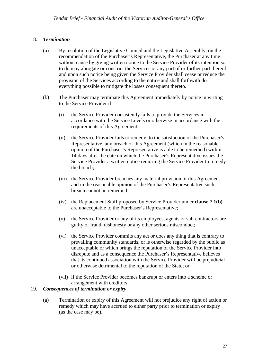#### 18. *Termination*

- (a) By resolution of the Legislative Council and the Legislative Assembly, on the recommendation of the Purchaser's Representative, the Purchaser at any time without cause by giving written notice to the Service Provider of its intention so to do may abrogate or constrict the Services or any part of or further part thereof and upon such notice being given the Service Provider shall cease or reduce the provision of the Services according to the notice and shall forthwith do everything possible to mitigate the losses consequent thereto.
- (b) The Purchaser may terminate this Agreement immediately by notice in writing to the Service Provider if:
	- (i) the Service Provider consistently fails to provide the Services in accordance with the Service Levels or otherwise in accordance with the requirements of this Agreement;
	- (ii) the Service Provider fails to remedy, to the satisfaction of the Purchaser's Representative, any breach of this Agreement (which in the reasonable opinion of the Purchaser's Representative is able to be remedied) within 14 days after the date on which the Purchaser's Representative issues the Service Provider a written notice requiring the Service Provider to remedy the breach;
	- (iii) the Service Provider breaches any material provision of this Agreement and in the reasonable opinion of the Purchaser's Representative such breach cannot be remedied;
	- (iv) the Replacement Staff proposed by Service Provider under **clause 7.1(b)** are unacceptable to the Purchaser's Representative;
	- (v) the Service Provider or any of its employees, agents or sub-contractors are guilty of fraud, dishonesty or any other serious misconduct;
	- (vi) the Service Provider commits any act or does any thing that is contrary to prevailing community standards, or is otherwise regarded by the public as unacceptable or which brings the reputation of the Service Provider into disrepute and as a consequence the Purchaser's Representative believes that its continued association with the Service Provider will be prejudicial or otherwise detrimental to the reputation of the State; or
	- (vii) if the Service Provider becomes bankrupt or enters into a scheme or arrangement with creditors.

#### <span id="page-26-1"></span><span id="page-26-0"></span>19. *Consequences of termination or expiry*

(a) Termination or expiry of this Agreement will not prejudice any right of action or remedy which may have accrued to either party prior to termination or expiry (as the case may be).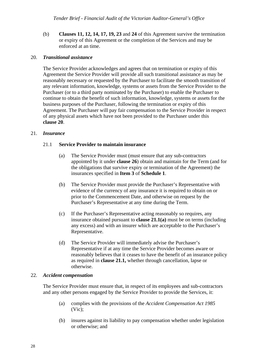(b) **Clauses [11](#page-21-0), [12](#page-22-0), 14, 17, 19, 23** and **24** of this Agreement survive the termination or expiry of this Agreement or the completion of the Services and may be enforced at an time.

#### <span id="page-27-0"></span>20. *Transitional assistance*

The Service Provider acknowledges and agrees that on termination or expiry of this Agreement the Service Provider will provide all such transitional assistance as may be reasonably necessary or requested by the Purchaser to facilitate the smooth transition of any relevant information, knowledge, systems or assets from the Service Provider to the Purchaser (or to a third party nominated by the Purchaser) to enable the Purchaser to continue to obtain the benefit of such information, knowledge, systems or assets for the business purposes of the Purchaser, following the termination or expiry of this Agreement. The Purchaser will pay fair compensation to the Service Provider in respect of any physical assets which have not been provided to the Purchaser under this **clause 20**.

#### <span id="page-27-2"></span><span id="page-27-1"></span>21. *Insurance*

#### 21.1 **Service Provider to maintain insurance**

- (a) The Service Provider must (must ensure that any sub-contractors appointed by it under **clause 26**) obtain and maintain for the Term (and for the obligations that survive expiry or termination of the Agreement) the insurances specified in **Item 3** of **Schedule 1**.
- (b) The Service Provider must provide the Purchaser's Representative with evidence of the currency of any insurance it is required to obtain on or prior to the Commencement Date, and otherwise on request by the Purchaser's Representative at any time during the Term.
- (c) If the Purchaser's Representative acting reasonably so requires, any insurance obtained pursuant to **clause 21.1(a)** must be on terms (including any excess) and with an insurer which are acceptable to the Purchaser's Representative.
- (d) The Service Provider will immediately advise the Purchaser's Representative if at any time the Service Provider becomes aware or reasonably believes that it ceases to have the benefit of an insurance policy as required in **clause 21.1,** whether through cancellation, lapse or otherwise.

#### <span id="page-27-3"></span>22. *Accident compensation*

The Service Provider must ensure that, in respect of its employees and sub-contractors and any other persons engaged by the Service Provider to provide the Services, it:

- (a) complies with the provisions of the *Accident Compensation Act 1985*  (Vic);
- (b) insures against its liability to pay compensation whether under legislation or otherwise; and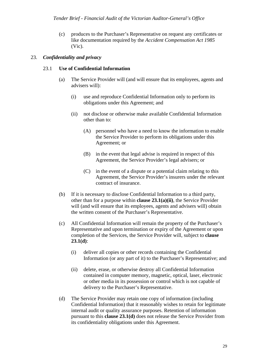(c) produces to the Purchaser's Representative on request any certificates or like documentation required by the *Accident Compensation Act 1985*  (Vic).

#### <span id="page-28-1"></span><span id="page-28-0"></span>23. *Confidentiality and privacy*

#### 23.1 **Use of Confidential Information**

- (a) The Service Provider will (and will ensure that its employees, agents and advisers will):
	- (i) use and reproduce Confidential Information only to perform its obligations under this Agreement; and
	- (ii) not disclose or otherwise make available Confidential Information other than to:
		- (A) personnel who have a need to know the information to enable the Service Provider to perform its obligations under this Agreement; or
		- (B) in the event that legal advise is required in respect of this Agreement, the Service Provider's legal advisers; or
		- (C) in the event of a dispute or a potential claim relating to this Agreement, the Service Provider's insurers under the relevant contract of insurance.
- (b) If it is necessary to disclose Confidential Information to a third party, other than for a purpose within **clause 23.1(a)(ii)**, the Service Provider will (and will ensure that its employees, agents and advisers will) obtain the written consent of the Purchaser's Representative.
- (c) All Confidential Information will remain the property of the Purchaser's Representative and upon termination or expiry of the Agreement or upon completion of the Services, the Service Provider will, subject to **clause 23.1(d)**:
	- (i) deliver all copies or other records containing the Confidential Information (or any part of it) to the Purchaser's Representative; and
	- (ii) delete, erase, or otherwise destroy all Confidential Information contained in computer memory, magnetic, optical, laser, electronic or other media in its possession or control which is not capable of delivery to the Purchaser's Representative.
- (d) The Service Provider may retain one copy of information (including Confidential Information) that it reasonably wishes to retain for legitimate internal audit or quality assurance purposes. Retention of information pursuant to this **clause 23.1(d)** does not release the Service Provider from its confidentiality obligations under this Agreement.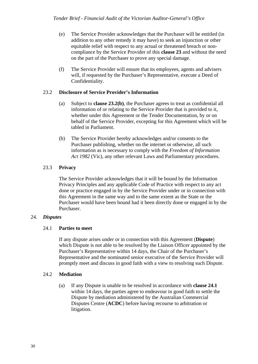- (e) The Service Provider acknowledges that the Purchaser will be entitled (in addition to any other remedy it may have) to seek an injunction or other equitable relief with respect to any actual or threatened breach or noncompliance by the Service Provider of this **clause 23** and without the need on the part of the Purchaser to prove any special damage.
- (f) The Service Provider will ensure that its employees, agents and advisers will, if requested by the Purchaser's Representative, execute a Deed of Confidentiality.

#### <span id="page-29-0"></span>23.2 **Disclosure of Service Provider's Information**

- (a) Subject to **clause 23.2(b)**, the Purchaser agrees to treat as confidential all information of or relating to the Service Provider that is provided to it, whether under this Agreement or the Tender Documentation, by or on behalf of the Service Provider, excepting for this Agreement which will be tabled in Parliament.
- (b) The Service Provider hereby acknowledges and/or consents to the Purchaser publishing, whether on the internet or otherwise, all such information as is necessary to comply with the *Freedom of Information Act 1982* (Vic), any other relevant Laws and Parliamentary procedures.

#### <span id="page-29-1"></span>23.3 **Privacy**

The Service Provider acknowledges that it will be bound by the Information Privacy Principles and any applicable Code of Practice with respect to any act done or practice engaged in by the Service Provider under or in connection with this Agreement in the same way and to the same extent as the State or the Purchaser would have been bound had it been directly done or engaged in by the Purchaser.

#### <span id="page-29-3"></span><span id="page-29-2"></span>24. *Disputes*

#### 24.1 **Parties to meet**

If any dispute arises under or in connection with this Agreement (**Dispute**) which Dispute is not able to be resolved by the Liaison Officer appointed by the Purchaser's Representative within 14 days, the Chair of the Purchaser's Representative and the nominated senior executive of the Service Provider will promptly meet and discuss in good faith with a view to resolving such Dispute.

#### <span id="page-29-4"></span>24.2 **Mediation**

(a) If any Dispute is unable to be resolved in accordance with **clause 24.1** within 14 days, the parties agree to endeavour in good faith to settle the Dispute by mediation administered by the Australian Commercial Disputes Centre (**ACDC**) before having recourse to arbitration or litigation.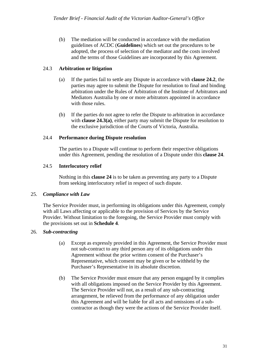(b) The mediation will be conducted in accordance with the mediation guidelines of ACDC (**Guidelines**) which set out the procedures to be adopted, the process of selection of the mediator and the costs involved and the terms of those Guidelines are incorporated by this Agreement.

#### <span id="page-30-0"></span>24.3 **Arbitration or litigation**

- (a) If the parties fail to settle any Dispute in accordance with **clause 24.2**, the parties may agree to submit the Dispute for resolution to final and binding arbitration under the Rules of Arbitration of the Institute of Arbitrators and Mediators Australia by one or more arbitrators appointed in accordance with those rules.
- (b) If the parties do not agree to refer the Dispute to arbitration in accordance with **clause 24.3(a)**, either party may submit the Dispute for resolution to the exclusive jurisdiction of the Courts of Victoria, Australia.

#### <span id="page-30-1"></span>24.4 **Performance during Dispute resolution**

The parties to a Dispute will continue to perform their respective obligations under this Agreement, pending the resolution of a Dispute under this **clause 24**.

#### 24.5 **Interlocutory relief**

Nothing in this **clause 24** is to be taken as preventing any party to a Dispute from seeking interlocutory relief in respect of such dispute.

#### <span id="page-30-3"></span><span id="page-30-2"></span>25. *Compliance with Law*

The Service Provider must, in performing its obligations under this Agreement, comply with all Laws affecting or applicable to the provision of Services by the Service Provider. Without limitation to the foregoing, the Service Provider must comply with the provisions set out in **Schedule 4**.

#### <span id="page-30-4"></span>26. *Sub-contracting*

- (a) Except as expressly provided in this Agreement, the Service Provider must not sub-contract to any third person any of its obligations under this Agreement without the prior written consent of the Purchaser's Representative, which consent may be given or be withheld by the Purchaser's Representative in its absolute discretion.
- (b) The Service Provider must ensure that any person engaged by it complies with all obligations imposed on the Service Provider by this Agreement. The Service Provider will not, as a result of any sub-contracting arrangement, be relieved from the performance of any obligation under this Agreement and will be liable for all acts and omissions of a subcontractor as though they were the actions of the Service Provider itself.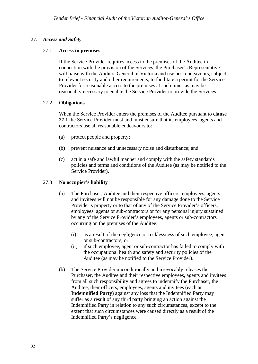#### <span id="page-31-1"></span>27. *Access and Safety*

#### 27.1 **Access to premises**

If the Service Provider requires access to the premises of the Auditee in connection with the provision of the Services, the Purchaser's Representative will liaise with the Auditor-General of Victoria and use best endeavours, subject to relevant security and other requirements, to facilitate a permit for the Service Provider for reasonable access to the premises at such times as may be reasonably necessary to enable the Service Provider to provide the Services.

#### <span id="page-31-2"></span>27.2 **Obligations**

When the Service Provider enters the premises of the Auditee pursuant to **clause 27.1** the Service Provider must and must ensure that its employees, agents and contractors use all reasonable endeavours to:

- (a) protect people and property;
- (b) prevent nuisance and unnecessary noise and disturbance; and
- (c) act in a safe and lawful manner and comply with the safety standards policies and terms and conditions of the Auditee (as may be notified to the Service Provider).

#### <span id="page-31-3"></span>27.3 **No occupier's liability**

- (a) The Purchaser, Auditee and their respective officers, employees, agents and invitees will not be responsible for any damage done to the Service Provider's property or to that of any of the Service Provider's officers, employees, agents or sub-contractors or for any personal injury sustained by any of the Service Provider's employees, agents or sub-contractors occurring on the premises of the Auditee:
	- (i) as a result of the negligence or recklessness of such employee, agent or sub-contractors; or
	- (ii) if such employee, agent or sub-contractor has failed to comply with the occupational health and safety and security policies of the Auditee (as may be notified to the Service Provider).
- <span id="page-31-0"></span>(b) The Service Provider unconditionally and irrevocably releases the Purchaser, the Auditee and their respective employees, agents and invitees from all such responsibility and agrees to indemnify the Purchaser, the Auditee, their officers, employees, agents and invitees (each an **Indemnified Party**) against any loss that the Indemnified Party may suffer as a result of any third party bringing an action against the Indemnified Party in relation to any such circumstances, except to the extent that such circumstances were caused directly as a result of the Indemnified Party's negligence.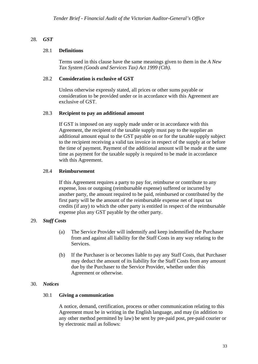#### <span id="page-32-1"></span>28. *GST*

#### 28.1 **Definitions**

Terms used in this clause have the same meanings given to them in the *A New Tax System (Goods and Services Tax) Act 1999 (Cth)*.

#### <span id="page-32-2"></span>28.2 **Consideration is exclusive of GST**

Unless otherwise expressly stated, all prices or other sums payable or consideration to be provided under or in accordance with this Agreement are exclusive of GST.

#### <span id="page-32-3"></span>28.3 **Recipient to pay an additional amount**

If GST is imposed on any supply made under or in accordance with this Agreement, the recipient of the taxable supply must pay to the supplier an additional amount equal to the GST payable on or for the taxable supply subject to the recipient receiving a valid tax invoice in respect of the supply at or before the time of payment. Payment of the additional amount will be made at the same time as payment for the taxable supply is required to be made in accordance with this Agreement.

#### <span id="page-32-4"></span>28.4 **Reimbursement**

If this Agreement requires a party to pay for, reimburse or contribute to any expense, loss or outgoing (reimbursable expense) suffered or incurred by another party, the amount required to be paid, reimbursed or contributed by the first party will be the amount of the reimbursable expense net of input tax credits (if any) to which the other party is entitled in respect of the reimbursable expense plus any GST payable by the other party.

#### <span id="page-32-5"></span>29. *Staff Costs*

- (a) The Service Provider will indemnify and keep indemnified the Purchaser from and against all liability for the Staff Costs in any way relating to the Services.
- (b) If the Purchaser is or becomes liable to pay any Staff Costs, that Purchaser may deduct the amount of its liability for the Staff Costs from any amount due by the Purchaser to the Service Provider, whether under this Agreement or otherwise.

#### <span id="page-32-7"></span><span id="page-32-6"></span><span id="page-32-0"></span>30. *Notices*

#### 30.1 **Giving a communication**

A notice, demand, certification, process or other communication relating to this Agreement must be in writing in the English language, and may (in addition to any other method permitted by law) be sent by pre-paid post, pre-paid courier or by electronic mail as follows: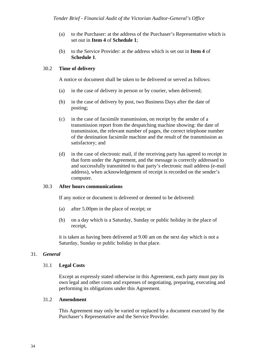- (a) to the Purchaser: at the address of the Purchaser's Representative which is set out in **Item 4** of **Schedule 1**;
- (b) to the Service Provider: at the address which is set out in **Item 4** of **Schedule 1**.

#### <span id="page-33-0"></span>30.2 **Time of delivery**

A notice or document shall be taken to be delivered or served as follows:

- (a) in the case of delivery in person or by courier, when delivered;
- (b) in the case of delivery by post, two Business Days after the date of posting;
- (c) in the case of facsimile transmission, on receipt by the sender of a transmission report from the despatching machine showing: the date of transmission, the relevant number of pages, the correct telephone number of the destination facsimile machine and the result of the transmission as satisfactory; and
- (d) in the case of electronic mail, if the receiving party has agreed to receipt in that form under the Agreement, and the message is correctly addressed to and successfully transmitted to that party's electronic mail address (e-mail address), when acknowledgement of receipt is recorded on the sender's computer.

#### <span id="page-33-1"></span>30.3 **After hours communications**

If any notice or document is delivered or deemed to be delivered:

- (a) after 5.00pm in the place of receipt; or
- (b) on a day which is a Saturday, Sunday or public holiday in the place of receipt,

it is taken as having been delivered at 9.00 am on the next day which is not a Saturday, Sunday or public holiday in that place.

#### <span id="page-33-3"></span><span id="page-33-2"></span>31. *General*

#### 31.1 **Legal Costs**

Except as expressly stated otherwise in this Agreement, each party must pay its own legal and other costs and expenses of negotiating, preparing, executing and performing its obligations under this Agreement.

#### <span id="page-33-4"></span>31.2 **Amendment**

This Agreement may only be varied or replaced by a document executed by the Purchaser's Representative and the Service Provider.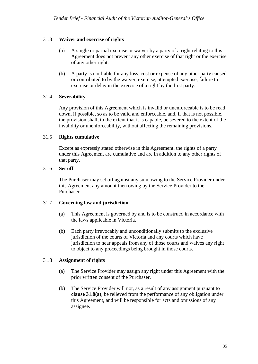#### 31.3 **Waiver and exercise of rights**

- (a) A single or partial exercise or waiver by a party of a right relating to this Agreement does not prevent any other exercise of that right or the exercise of any other right.
- (b) A party is not liable for any loss, cost or expense of any other party caused or contributed to by the waiver, exercise, attempted exercise, failure to exercise or delay in the exercise of a right by the first party.

#### <span id="page-34-1"></span>31.4 **Severability**

Any provision of this Agreement which is invalid or unenforceable is to be read down, if possible, so as to be valid and enforceable, and, if that is not possible, the provision shall, to the extent that it is capable, be severed to the extent of the invalidity or unenforceability, without affecting the remaining provisions.

#### <span id="page-34-2"></span>31.5 **Rights cumulative**

Except as expressly stated otherwise in this Agreement, the rights of a party under this Agreement are cumulative and are in addition to any other rights of that party.

#### <span id="page-34-3"></span>31.6 **Set off**

The Purchaser may set off against any sum owing to the Service Provider under this Agreement any amount then owing by the Service Provider to the Purchaser.

#### <span id="page-34-4"></span>31.7 **Governing law and jurisdiction**

- (a) This Agreement is governed by and is to be construed in accordance with the laws applicable in Victoria.
- (b) Each party irrevocably and unconditionally submits to the exclusive jurisdiction of the courts of Victoria and any courts which have jurisdiction to hear appeals from any of those courts and waives any right to object to any proceedings being brought in those courts.

#### <span id="page-34-5"></span>31.8 **Assignment of rights**

- (a) The Service Provider may assign any right under this Agreement with the prior written consent of the Purchaser.
- <span id="page-34-0"></span>(b) The Service Provider will not, as a result of any assignment pursuant to **clause 31.8(a)**, be relieved from the performance of any obligation under this Agreement, and will be responsible for acts and omissions of any assignee.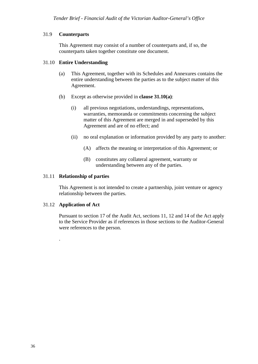#### <span id="page-35-0"></span>31.9 **Counterparts**

This Agreement may consist of a number of counterparts and, if so, the counterparts taken together constitute one document.

#### <span id="page-35-1"></span>31.10 **Entire Understanding**

- (a) This Agreement, together with its Schedules and Annexures contains the entire understanding between the parties as to the subject matter of this Agreement.
- (b) Except as otherwise provided in **clause 31.10(a)**:
	- (i) all previous negotiations, understandings, representations, warranties, memoranda or commitments concerning the subject matter of this Agreement are merged in and superseded by this Agreement and are of no effect; and
	- (ii) no oral explanation or information provided by any party to another:
		- (A) affects the meaning or interpretation of this Agreement; or
		- (B) constitutes any collateral agreement, warranty or understanding between any of the parties.

#### <span id="page-35-2"></span>31.11 **Relationship of parties**

This Agreement is not intended to create a partnership, joint venture or agency relationship between the parties.

#### <span id="page-35-3"></span>31.12 **Application of Act**

.

Pursuant to section 17 of the Audit Act, sections 11, 12 and 14 of the Act apply to the Service Provider as if references in those sections to the Auditor-General were references to the person.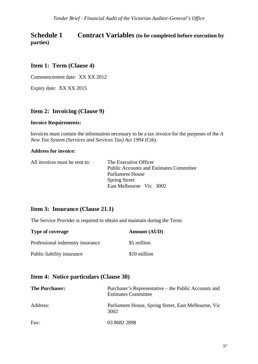# <span id="page-36-0"></span>**Schedule 1** Contract Variables (to be completed before execution by **parties)**

### <span id="page-36-1"></span>**Item 1: Term (Clause 4)**

Commencement date: XX XX 2012

Expiry date: XX XX 2015

#### <span id="page-36-2"></span>**Item 2: Invoicing (Clause 9)**

#### **Invoice Requirements:**

Invoices must contain the information necessary to be a tax invoice for the purposes of the *A New Tax System (Services and Services Tax) Act 1994* (Cth).

#### **Address for invoice:**

All invoices must be sent to: The Executive Officer

Public Accounts and Estimates Committee Parliament House Spring Street East Melbourne Vic 3002

#### <span id="page-36-3"></span>**Item 3: Insurance (Clause 21.1)**

The Service Provider is required to obtain and maintain during the Term:

| Type of coverage                 | <b>Amount (AUD)</b> |
|----------------------------------|---------------------|
| Professional indemnity insurance | \$5 million         |
| Public liability insurance       | \$10 million        |

#### <span id="page-36-4"></span>**Item 4: Notice particulars (Clause 30)**

| <b>The Purchaser:</b> | Purchaser's Representative – the Public Accounts and<br><b>Estimates Committee</b> |
|-----------------------|------------------------------------------------------------------------------------|
| Address:              | Parliament House, Spring Street, East Melbourne, Vic<br>3002                       |
| Fax:                  | 03 8682 2898                                                                       |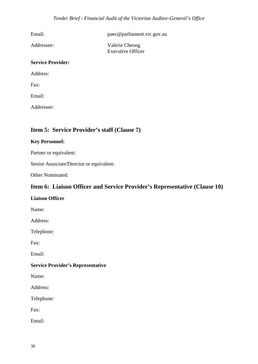Email: paec@parliament.vic.gov.au

Addressee: Valerie Cheong Executive Officer

#### **Service Provider:**

Address:

Fax:

Email:

Addressee:

### <span id="page-37-0"></span>**Item 5: Service Provider's staff (Clause 7)**

#### **Key Personnel:**

Partner or equivalent:

Senior Associate/Director or equivalent:

Other Nominated:

### <span id="page-37-1"></span>**Item 6: Liaison Officer and Service Provider's Representative (Clause 10)**

#### **Liaison Officer**

Name:

Address:

Telephone:

Fax:

Email:

#### **Service Provider's Representative**

Name:

Address:

Telephone:

Fax:

Email: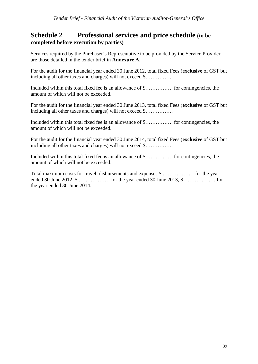## <span id="page-38-0"></span>**Schedule 2 Professional services and price schedule (to be completed before execution by parties)**

Services required by the Purchaser's Representative to be provided by the Service Provider are those detailed in the tender brief in **Annexure A**.

For the audit for the financial year ended 30 June 2012, total fixed Fees (**exclusive** of GST but including all other taxes and charges) will not exceed \$…………….

Included within this total fixed fee is an allowance of \$……………. for contingencies, the amount of which will not be exceeded.

For the audit for the financial year ended 30 June 2013, total fixed Fees (**exclusive** of GST but including all other taxes and charges) will not exceed \$…………….

Included within this total fixed fee is an allowance of \$……………. for contingencies, the amount of which will not be exceeded.

For the audit for the financial year ended 30 June 2014, total fixed Fees (**exclusive** of GST but including all other taxes and charges) will not exceed \$…………….

Included within this total fixed fee is an allowance of \$……………. for contingencies, the amount of which will not be exceeded.

Total maximum costs for travel, disbursements and expenses \$ ……………… for the year ended 30 June 2012, \$ ……………… for the year ended 30 June 2013, \$ ……………… for the year ended 30 June 2014.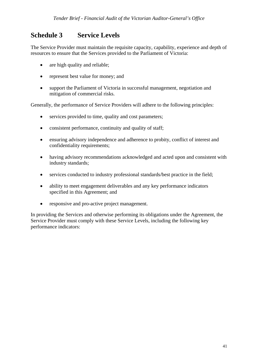# <span id="page-40-0"></span>**Schedule 3 Service Levels**

The Service Provider must maintain the requisite capacity, capability, experience and depth of resources to ensure that the Services provided to the Parliament of Victoria:

- are high quality and reliable:
- represent best value for money; and
- support the Parliament of Victoria in successful management, negotiation and mitigation of commercial risks.

Generally, the performance of Service Providers will adhere to the following principles:

- services provided to time, quality and cost parameters;
- consistent performance, continuity and quality of staff;
- ensuring advisory independence and adherence to probity, conflict of interest and confidentiality requirements;
- having advisory recommendations acknowledged and acted upon and consistent with industry standards;
- services conducted to industry professional standards/best practice in the field;
- ability to meet engagement deliverables and any key performance indicators specified in this Agreement; and
- responsive and pro-active project management.

In providing the Services and otherwise performing its obligations under the Agreement, the Service Provider must comply with these Service Levels, including the following key performance indicators: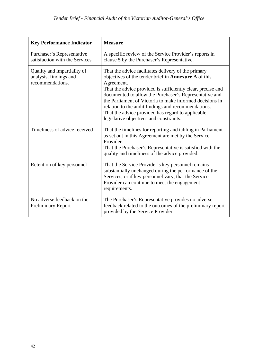| <b>Key Performance Indicator</b>                                          | <b>Measure</b>                                                                                                                                                                                                                                                                                                                                                                                                                                                        |
|---------------------------------------------------------------------------|-----------------------------------------------------------------------------------------------------------------------------------------------------------------------------------------------------------------------------------------------------------------------------------------------------------------------------------------------------------------------------------------------------------------------------------------------------------------------|
| Purchaser's Representative<br>satisfaction with the Services              | A specific review of the Service Provider's reports in<br>clause 5 by the Purchaser's Representative.                                                                                                                                                                                                                                                                                                                                                                 |
| Quality and impartiality of<br>analysis, findings and<br>recommendations. | That the advice facilitates delivery of the primary<br>objectives of the tender brief in Annexure A of this<br>Agreement.<br>That the advice provided is sufficiently clear, precise and<br>documented to allow the Purchaser's Representative and<br>the Parliament of Victoria to make informed decisions in<br>relation to the audit findings and recommendations.<br>That the advice provided has regard to applicable<br>legislative objectives and constraints. |
| Timeliness of advice received                                             | That the timelines for reporting and tabling in Parliament<br>as set out in this Agreement are met by the Service<br>Provider.<br>That the Purchaser's Representative is satisfied with the<br>quality and timeliness of the advice provided.                                                                                                                                                                                                                         |
| Retention of key personnel                                                | That the Service Provider's key personnel remains<br>substantially unchanged during the performance of the<br>Services, or if key personnel vary, that the Service<br>Provider can continue to meet the engagement<br>requirements.                                                                                                                                                                                                                                   |
| No adverse feedback on the<br><b>Preliminary Report</b>                   | The Purchaser's Representative provides no adverse<br>feedback related to the outcomes of the preliminary report<br>provided by the Service Provider.                                                                                                                                                                                                                                                                                                                 |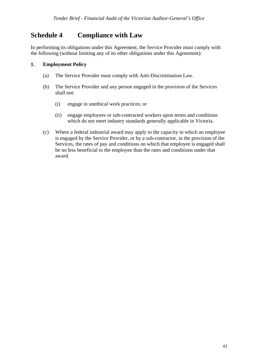# <span id="page-42-0"></span>**Schedule 4 Compliance with Law**

In performing its obligations under this Agreement, the Service Provider must comply with the following (without limiting any of its other obligations under this Agreement):

#### <span id="page-42-1"></span>**1. Employment Policy**

- (a) The Service Provider must comply with Anti-Discrimination Law.
- (b) The Service Provider and any person engaged in the provision of the Services shall not:
	- (i) engage in unethical work practices; or
	- (ii) engage employees or sub-contracted workers upon terms and conditions which do not meet industry standards generally applicable in Victoria.
- <span id="page-42-2"></span> (c) Where a federal industrial award may apply to the capacity in which an employee is engaged by the Service Provider, or by a sub-contractor, in the provision of the Services, the rates of pay and conditions on which that employee is engaged shall be no less beneficial to the employee than the rates and conditions under that award.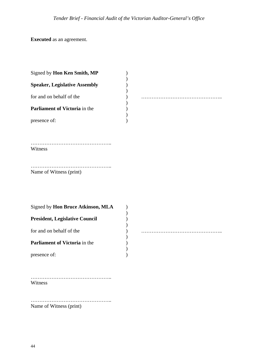**Executed** as an agreement.

| Signed by Hon Ken Smith, MP           |  |
|---------------------------------------|--|
| <b>Speaker, Legislative Assembly</b>  |  |
| for and on behalf of the              |  |
| Parliament of Victoria in the         |  |
| presence of:                          |  |
| Witness                               |  |
| Name of Witness (print)               |  |
| Signed by Hon Bruce Atkinson, MLA     |  |
| <b>President, Legislative Council</b> |  |
| for and on behalf of the              |  |
| Parliament of Victoria in the         |  |
| presence of:                          |  |

……………………………………….. Witness

……………………………………….. Name of Witness (print)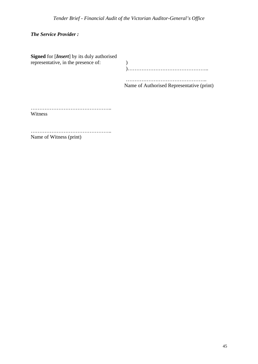*The Service Provider :*

| <b>Signed</b> for [ <i>Insert</i> ] by its duly authorised<br>representative, in the presence of: |                                           |  |  |
|---------------------------------------------------------------------------------------------------|-------------------------------------------|--|--|
|                                                                                                   | Name of Authorised Representative (print) |  |  |
| Witness                                                                                           |                                           |  |  |
|                                                                                                   |                                           |  |  |

Name of Witness (print)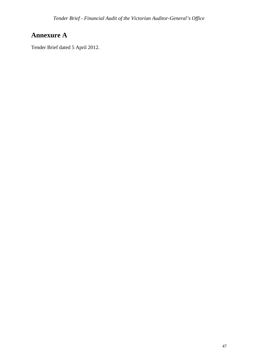# <span id="page-46-0"></span>**Annexure A**

Tender Brief dated 5 April 2012.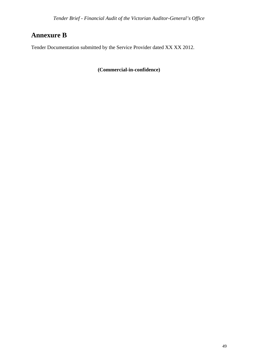# <span id="page-48-0"></span>**Annexure B**

Tender Documentation submitted by the Service Provider dated XX XX 2012.

**(Commercial-in-confidence)**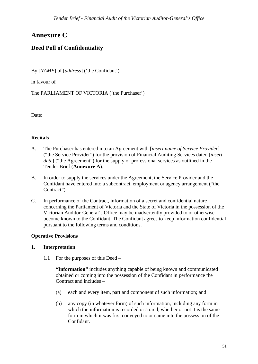# <span id="page-50-0"></span>**Annexure C**

# **Deed Poll of Confidentiality**

By [*NAME*] of [*address*] ('the Confidant')

in favour of

The PARLIAMENT OF VICTORIA ('the Purchaser')

Date:

#### **Recitals**

- A. The Purchaser has entered into an Agreement with [*insert name of Service Provider*] ("the Service Provider") for the provision of Financial Auditing Services dated [*insert date*] ("the Agreement") for the supply of professional services as outlined in the Tender Brief (**Annexure A**).
- B. In order to supply the services under the Agreement, the Service Provider and the Confidant have entered into a subcontract, employment or agency arrangement ("the Contract").
- C. In performance of the Contract, information of a secret and confidential nature concerning the Parliament of Victoria and the State of Victoria in the possession of the Victorian Auditor-General's Office may be inadvertently provided to or otherwise become known to the Confidant. The Confidant agrees to keep information confidential pursuant to the following terms and conditions.

#### **Operative Provisions**

#### <span id="page-50-1"></span>**1. Interpretation**

1.1 For the purposes of this Deed –

 **"Information"** includes anything capable of being known and communicated obtained or coming into the possession of the Confidant in performance the Contract and includes –

- (a) each and every item, part and component of such information; and
- (b) any copy (in whatever form) of such information, including any form in which the information is recorded or stored, whether or not it is the same form in which it was first conveyed to or came into the possession of the Confidant.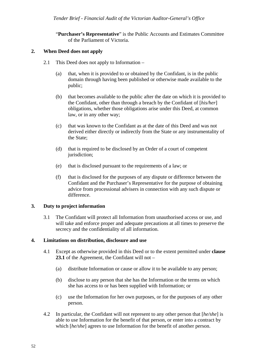"**Purchaser's Representative**" is the Public Accounts and Estimates Committee of the Parliament of Victoria.

#### <span id="page-51-0"></span>**2. When Deed does not apply**

- 2.1 This Deed does not apply to Information
	- (a) that, when it is provided to or obtained by the Confidant, is in the public domain through having been published or otherwise made available to the public;
	- (b) that becomes available to the public after the date on which it is provided to the Confidant, other than through a breach by the Confidant of [*his/her*] obligations, whether those obligations arise under this Deed, at common law, or in any other way;
	- (c) that was known to the Confidant as at the date of this Deed and was not derived either directly or indirectly from the State or any instrumentality of the State;
	- (d) that is required to be disclosed by an Order of a court of competent jurisdiction;
	- (e) that is disclosed pursuant to the requirements of a law; or
	- (f) that is disclosed for the purposes of any dispute or difference between the Confidant and the Purchaser's Representative for the purpose of obtaining advice from processional advisers in connection with any such dispute or difference.

#### <span id="page-51-1"></span>**3. Duty to project information**

3.1 The Confidant will protect all Information from unauthorised access or use, and will take and enforce proper and adequate precautions at all times to preserve the secrecy and the confidentiality of all information.

#### <span id="page-51-2"></span>**4. Limitations on distribution, disclosure and use**

- 4.1 Except as otherwise provided in this Deed or to the extent permitted under **clause 23.1** of the Agreement, the Confidant will not –
	- (a) distribute Information or cause or allow it to be available to any person;
	- (b) disclose to any person that she has the Information or the terms on which she has access to or has been supplied with Information; or
	- (c) use the Information for her own purposes, or for the purposes of any other person.
- 4.2 In particular, the Confidant will not represent to any other person that [*he/she*] is able to use Information for the benefit of that person, or enter into a contract by which [*he/she*] agrees to use Information for the benefit of another person.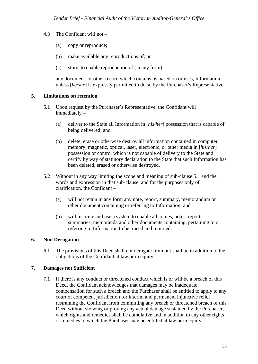- 4.3 The Confidant will not
	- (a) copy or reproduce;
	- (b) make available any reproductions of; or
	- (c) store, to enable reproduction of (in any form) –

 any document, or other record which contains, is based on or uses, Information, unless [*he/she*] is expressly permitted to do so by the Purchaser's Representative.

#### <span id="page-52-0"></span>**5. Limitations on retention**

- 5.1 Upon request by the Purchaser's Representative, the Confidant will immediately –
	- (a) deliver to the State all Information in [*his/her*] possession that is capable of being delivered; and
	- (b) delete, erase or otherwise destroy all information contained in computer memory, magnetic, optical, laser, electronic, or other media in [*his/her*] possession or control which is not capable of delivery to the State and certify by way of statutory declaration to the State that such Information has been deleted, erased or otherwise destroyed.
- 5.2 Without in any way limiting the scope and meaning of sub-clause 5.1 and the words and expression in that sub-clause, and for the purposes only of clarification, the Confidant –
	- (a) will not retain in any form any note, report, summary, memorandum or other document containing or referring to Information; and
	- (b) will institute and use a system to enable all copies, notes, reports, summaries, memoranda and other documents containing, pertaining to or referring to Information to be traced and returned.

#### <span id="page-52-1"></span>**6. Non Derogation**

6.1 The provisions of this Deed shall not derogate from but shall be in addition to the obligations of the Confidant at law or in equity.

#### <span id="page-52-2"></span>**7. Damages not Sufficient**

7.1 If there is any conduct or threatened conduct which is or will be a breach of this Deed, the Confidant acknowledges that damages may be inadequate compensation for such a breach and the Purchaser shall be entitled to apply to any court of competent jurisdiction for interim and permanent injunctive relief restraining the Confidant from committing any breach or threatened breach of this Deed without showing or proving any actual damage sustained by the Purchaser, which rights and remedies shall be cumulative and in addition to any other rights or remedies to which the Purchaser may be entitled at law or in equity.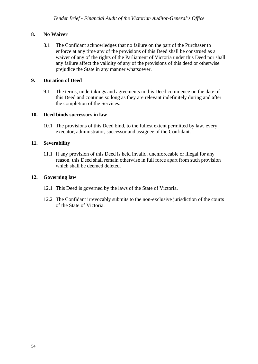#### <span id="page-53-0"></span>**8. No Waiver**

 8.1 The Confidant acknowledges that no failure on the part of the Purchaser to enforce at any time any of the provisions of this Deed shall be construed as a waiver of any of the rights of the Parliament of Victoria under this Deed nor shall any failure affect the validity of any of the provisions of this deed or otherwise prejudice the State in any manner whatsoever.

#### <span id="page-53-1"></span>**9. Duration of Deed**

9.1 The terms, undertakings and agreements in this Deed commence on the date of this Deed and continue so long as they are relevant indefinitely during and after the completion of the Services.

#### <span id="page-53-2"></span>**10. Deed binds successors in law**

10.1 The provisions of this Deed bind, to the fullest extent permitted by law, every executor, administrator, successor and assignee of the Confidant.

#### <span id="page-53-3"></span>**11. Severability**

11.1 If any provision of this Deed is held invalid, unenforceable or illegal for any reason, this Deed shall remain otherwise in full force apart from such provision which shall be deemed deleted.

#### <span id="page-53-4"></span>**12. Governing law**

- 12.1 This Deed is governed by the laws of the State of Victoria.
- 12.2 The Confidant irrevocably submits to the non-exclusive jurisdiction of the courts of the State of Victoria.